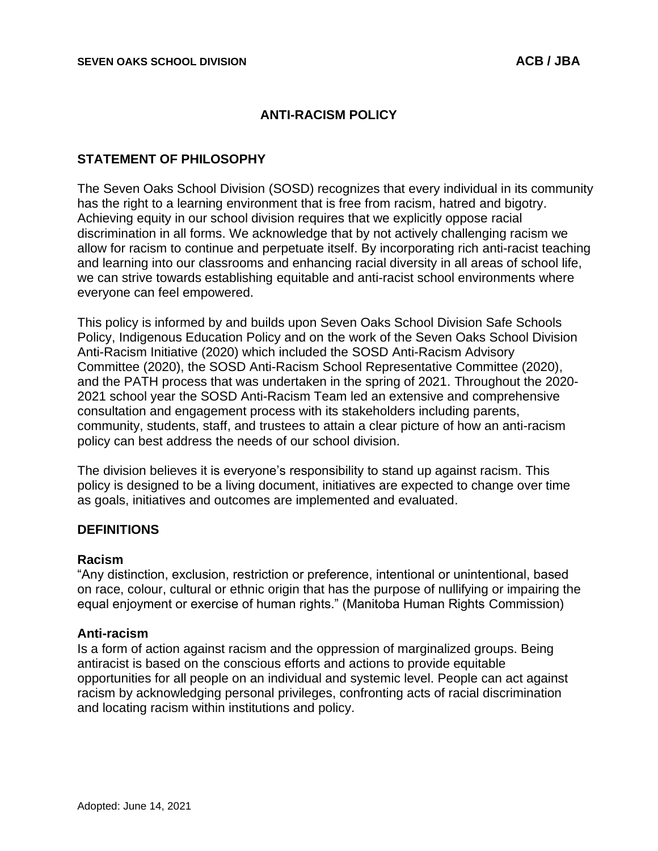### **ANTI-RACISM POLICY**

### **STATEMENT OF PHILOSOPHY**

The Seven Oaks School Division (SOSD) recognizes that every individual in its community has the right to a learning environment that is free from racism, hatred and bigotry. Achieving equity in our school division requires that we explicitly oppose racial discrimination in all forms. We acknowledge that by not actively challenging racism we allow for racism to continue and perpetuate itself. By incorporating rich anti-racist teaching and learning into our classrooms and enhancing racial diversity in all areas of school life, we can strive towards establishing equitable and anti-racist school environments where everyone can feel empowered.

This policy is informed by and builds upon Seven Oaks School Division Safe Schools Policy, Indigenous Education Policy and on the work of the Seven Oaks School Division Anti-Racism Initiative (2020) which included the SOSD Anti-Racism Advisory Committee (2020), the SOSD Anti-Racism School Representative Committee (2020), and the PATH process that was undertaken in the spring of 2021. Throughout the 2020- 2021 school year the SOSD Anti-Racism Team led an extensive and comprehensive consultation and engagement process with its stakeholders including parents, community, students, staff, and trustees to attain a clear picture of how an anti-racism policy can best address the needs of our school division.

The division believes it is everyone's responsibility to stand up against racism. This policy is designed to be a living document, initiatives are expected to change over time as goals, initiatives and outcomes are implemented and evaluated.

### **DEFINITIONS**

#### **Racism**

"Any distinction, exclusion, restriction or preference, intentional or unintentional, based on race, colour, cultural or ethnic origin that has the purpose of nullifying or impairing the equal enjoyment or exercise of human rights." (Manitoba Human Rights Commission)

#### **Anti-racism**

Is a form of action against racism and the oppression of marginalized groups. Being antiracist is based on the conscious efforts and actions to provide equitable opportunities for all people on an individual and systemic level. People can act against racism by acknowledging personal privileges, confronting acts of racial discrimination and locating racism within institutions and policy.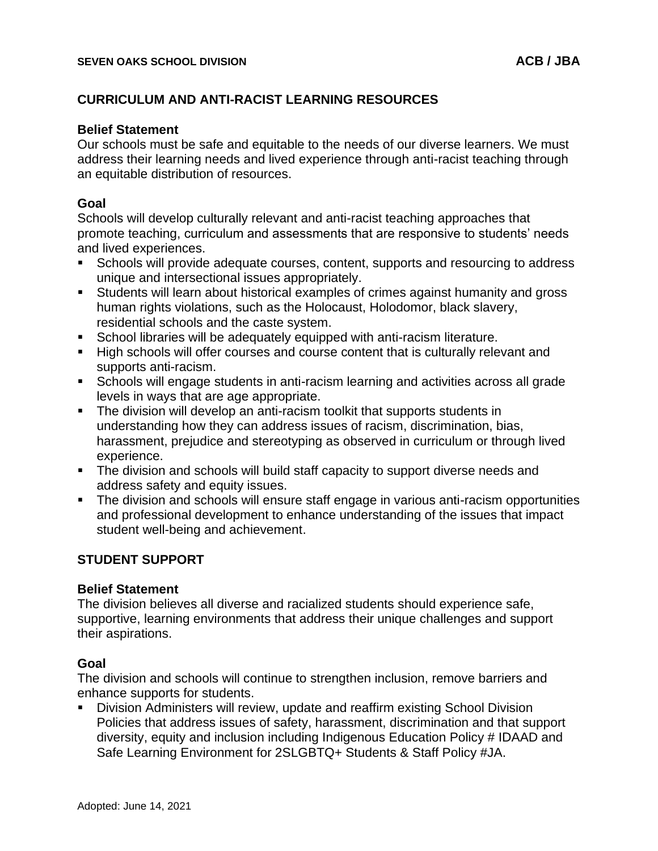## **CURRICULUM AND ANTI-RACIST LEARNING RESOURCES**

### **Belief Statement**

Our schools must be safe and equitable to the needs of our diverse learners. We must address their learning needs and lived experience through anti-racist teaching through an equitable distribution of resources.

### **Goal**

Schools will develop culturally relevant and anti-racist teaching approaches that promote teaching, curriculum and assessments that are responsive to students' needs and lived experiences.

- **EXECT** Schools will provide adequate courses, content, supports and resourcing to address unique and intersectional issues appropriately.
- Students will learn about historical examples of crimes against humanity and gross human rights violations, such as the Holocaust, Holodomor, black slavery, residential schools and the caste system.
- School libraries will be adequately equipped with anti-racism literature.
- High schools will offer courses and course content that is culturally relevant and supports anti-racism.
- Schools will engage students in anti-racism learning and activities across all grade levels in ways that are age appropriate.
- **•** The division will develop an anti-racism toolkit that supports students in understanding how they can address issues of racism, discrimination, bias, harassment, prejudice and stereotyping as observed in curriculum or through lived experience.
- **The division and schools will build staff capacity to support diverse needs and** address safety and equity issues.
- The division and schools will ensure staff engage in various anti-racism opportunities and professional development to enhance understanding of the issues that impact student well-being and achievement.

## **STUDENT SUPPORT**

### **Belief Statement**

The division believes all diverse and racialized students should experience safe, supportive, learning environments that address their unique challenges and support their aspirations.

### **Goal**

The division and schools will continue to strengthen inclusion, remove barriers and enhance supports for students.

▪ Division Administers will review, update and reaffirm existing School Division Policies that address issues of safety, harassment, discrimination and that support diversity, equity and inclusion including Indigenous Education Policy # IDAAD and Safe Learning Environment for 2SLGBTQ+ Students & Staff Policy #JA.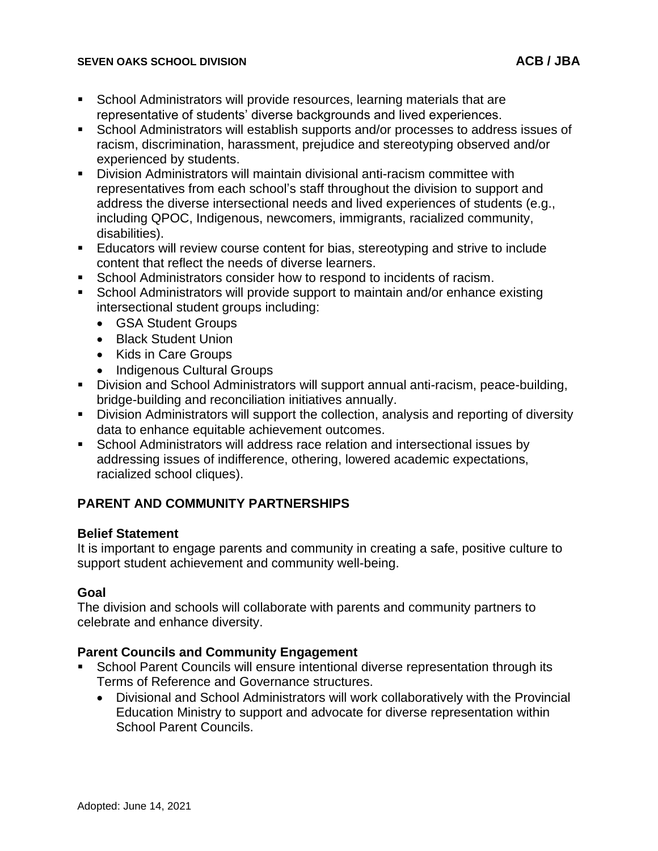### **SEVEN OAKS SCHOOL DIVISION ACB / JBA**

- School Administrators will provide resources, learning materials that are representative of students' diverse backgrounds and lived experiences.
- School Administrators will establish supports and/or processes to address issues of racism, discrimination, harassment, prejudice and stereotyping observed and/or experienced by students.
- **•** Division Administrators will maintain divisional anti-racism committee with representatives from each school's staff throughout the division to support and address the diverse intersectional needs and lived experiences of students (e.g., including QPOC, Indigenous, newcomers, immigrants, racialized community, disabilities).
- **Educators will review course content for bias, stereotyping and strive to include** content that reflect the needs of diverse learners.
- School Administrators consider how to respond to incidents of racism.
- School Administrators will provide support to maintain and/or enhance existing intersectional student groups including:
	- GSA Student Groups
	- Black Student Union
	- Kids in Care Groups
	- Indigenous Cultural Groups
- Division and School Administrators will support annual anti-racism, peace-building, bridge-building and reconciliation initiatives annually.
- **•** Division Administrators will support the collection, analysis and reporting of diversity data to enhance equitable achievement outcomes.
- School Administrators will address race relation and intersectional issues by addressing issues of indifference, othering, lowered academic expectations, racialized school cliques).

## **PARENT AND COMMUNITY PARTNERSHIPS**

# **Belief Statement**

It is important to engage parents and community in creating a safe, positive culture to support student achievement and community well-being.

## **Goal**

The division and schools will collaborate with parents and community partners to celebrate and enhance diversity.

## **Parent Councils and Community Engagement**

- School Parent Councils will ensure intentional diverse representation through its Terms of Reference and Governance structures.
	- Divisional and School Administrators will work collaboratively with the Provincial Education Ministry to support and advocate for diverse representation within School Parent Councils.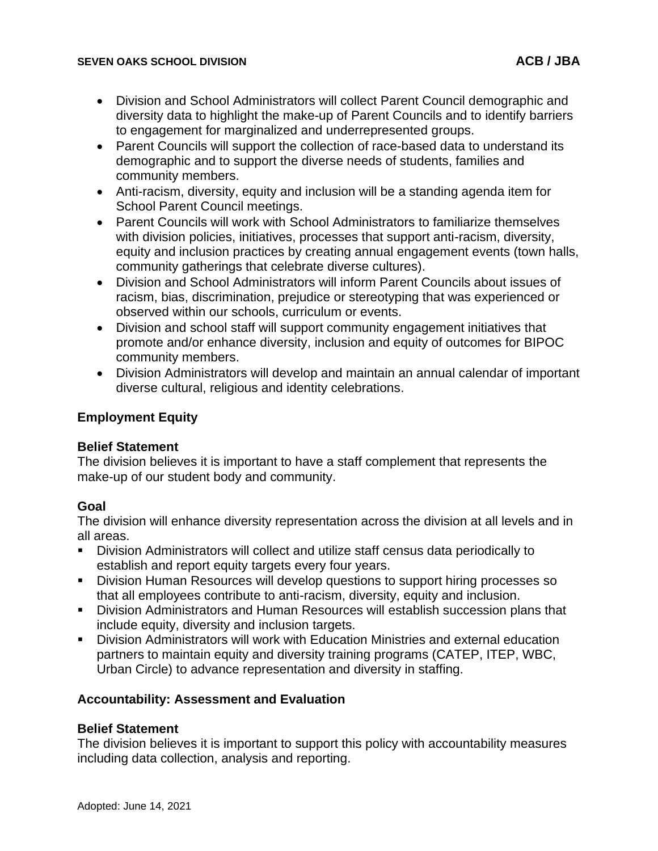### **SEVEN OAKS SCHOOL DIVISION ACB / JBA**

- Division and School Administrators will collect Parent Council demographic and diversity data to highlight the make-up of Parent Councils and to identify barriers to engagement for marginalized and underrepresented groups.
- Parent Councils will support the collection of race-based data to understand its demographic and to support the diverse needs of students, families and community members.
- Anti-racism, diversity, equity and inclusion will be a standing agenda item for School Parent Council meetings.
- Parent Councils will work with School Administrators to familiarize themselves with division policies, initiatives, processes that support anti-racism, diversity, equity and inclusion practices by creating annual engagement events (town halls, community gatherings that celebrate diverse cultures).
- Division and School Administrators will inform Parent Councils about issues of racism, bias, discrimination, prejudice or stereotyping that was experienced or observed within our schools, curriculum or events.
- Division and school staff will support community engagement initiatives that promote and/or enhance diversity, inclusion and equity of outcomes for BIPOC community members.
- Division Administrators will develop and maintain an annual calendar of important diverse cultural, religious and identity celebrations.

## **Employment Equity**

## **Belief Statement**

The division believes it is important to have a staff complement that represents the make-up of our student body and community.

## **Goal**

The division will enhance diversity representation across the division at all levels and in all areas.

- Division Administrators will collect and utilize staff census data periodically to establish and report equity targets every four years.
- Division Human Resources will develop questions to support hiring processes so that all employees contribute to anti-racism, diversity, equity and inclusion.
- **E** Division Administrators and Human Resources will establish succession plans that include equity, diversity and inclusion targets.
- Division Administrators will work with Education Ministries and external education partners to maintain equity and diversity training programs (CATEP, ITEP, WBC, Urban Circle) to advance representation and diversity in staffing.

## **Accountability: Assessment and Evaluation**

## **Belief Statement**

The division believes it is important to support this policy with accountability measures including data collection, analysis and reporting.